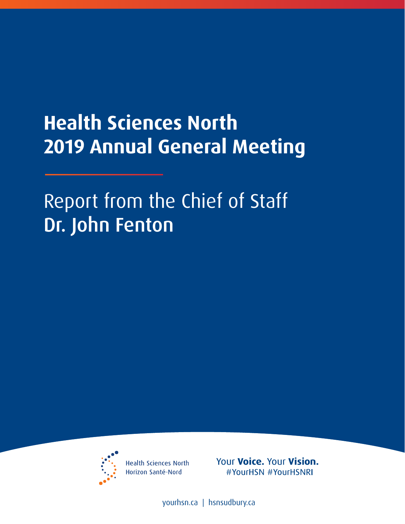## **Health Sciences North 2019 Annual General Meeting**

Report from the Chief of Staff Dr. John Fenton



**Health Sciences North** Horizon Santé-Nord

Your Voice. Your Vision. #YourHSN #YourHSNRI

[yourhsn.ca](www.yourhsn.ca) | [hsnsudbury.ca](www.hsnsudbury.ca)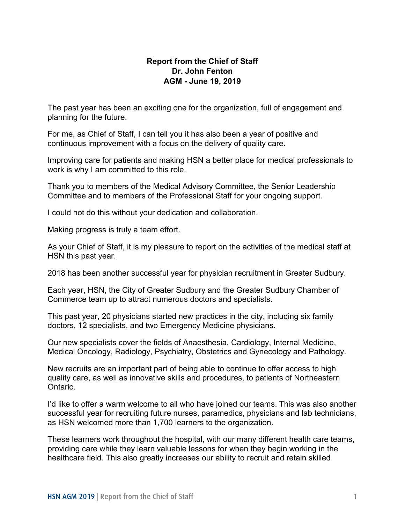## **Report from the Chief of Staff Dr. John Fenton AGM - June 19, 2019**

 The past year has been an exciting one for the organization, full of engagement and planning for the future.

 For me, as Chief of Staff, I can tell you it has also been a year of positive and continuous improvement with a focus on the delivery of quality care.

 work is why I am committed to this role. Improving care for patients and making HSN a better place for medical professionals to

 Thank you to members of the Medical Advisory Committee, the Senior Leadership Committee and to members of the Professional Staff for your ongoing support.

I could not do this without your dedication and collaboration.

Making progress is truly a team effort.

As your Chief of Staff, it is my pleasure to report on the activities of the medical staff at HSN this past year.

2018 has been another successful year for physician recruitment in Greater Sudbury.

 Commerce team up to attract numerous doctors and specialists. Each year, HSN, the City of Greater Sudbury and the Greater Sudbury Chamber of

 doctors, 12 specialists, and two Emergency Medicine physicians. This past year, 20 physicians started new practices in the city, including six family

 Our new specialists cover the fields of Anaesthesia, Cardiology, Internal Medicine, Medical Oncology, Radiology, Psychiatry, Obstetrics and Gynecology and Pathology.

New recruits are an important part of being able to continue to offer access to high quality care, as well as innovative skills and procedures, to patients of Northeastern Ontario.

 I'd like to offer a warm welcome to all who have joined our teams. This was also another successful year for recruiting future nurses, paramedics, physicians and lab technicians, as HSN welcomed more than 1,700 learners to the organization.

These learners work throughout the hospital, with our many different health care teams, providing care while they learn valuable lessons for when they begin working in the healthcare field. This also greatly increases our ability to recruit and retain skilled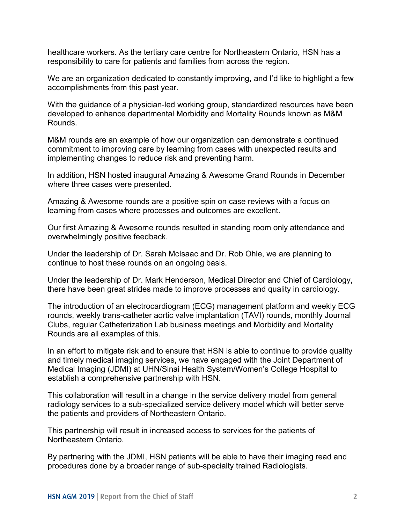healthcare workers. As the tertiary care centre for Northeastern Ontario, HSN has a responsibility to care for patients and families from across the region.

 We are an organization dedicated to constantly improving, and I'd like to highlight a few accomplishments from this past year.

 With the guidance of a physician-led working group, standardized resources have been developed to enhance departmental Morbidity and Mortality Rounds known as M&M Rounds.

M&M rounds are an example of how our organization can demonstrate a continued commitment to improving care by learning from cases with unexpected results and implementing changes to reduce risk and preventing harm.

where three cases were presented. In addition, HSN hosted inaugural Amazing & Awesome Grand Rounds in December

where three cases were presented.<br>Amazing & Awesome rounds are a positive spin on case reviews with a focus on learning from cases where processes and outcomes are excellent.

 Our first Amazing & Awesome rounds resulted in standing room only attendance and overwhelmingly positive feedback.

 continue to host these rounds on an ongoing basis. Under the leadership of Dr. Sarah McIsaac and Dr. Rob Ohle, we are planning to

Under the leadership of Dr. Mark Henderson, Medical Director and Chief of Cardiology, there have been great strides made to improve processes and quality in cardiology.

 Clubs, regular Catheterization Lab business meetings and Morbidity and Mortality Rounds are all examples of this. The introduction of an electrocardiogram (ECG) management platform and weekly ECG rounds, weekly trans-catheter aortic valve implantation (TAVI) rounds, monthly Journal

In an effort to mitigate risk and to ensure that HSN is able to continue to provide quality and timely medical imaging services, we have engaged with the Joint Department of Medical Imaging (JDMI) at UHN/Sinai Health System/Women's College Hospital to establish a comprehensive partnership with HSN.

This collaboration will result in a change in the service delivery model from general radiology services to a sub-specialized service delivery model which will better serve the patients and providers of Northeastern Ontario.

 This partnership will result in increased access to services for the patients of Northeastern Ontario.

Northeastern Ontario.<br>By partnering with the JDMI, HSN patients will be able to have their imaging read and procedures done by a broader range of sub-specialty trained Radiologists.